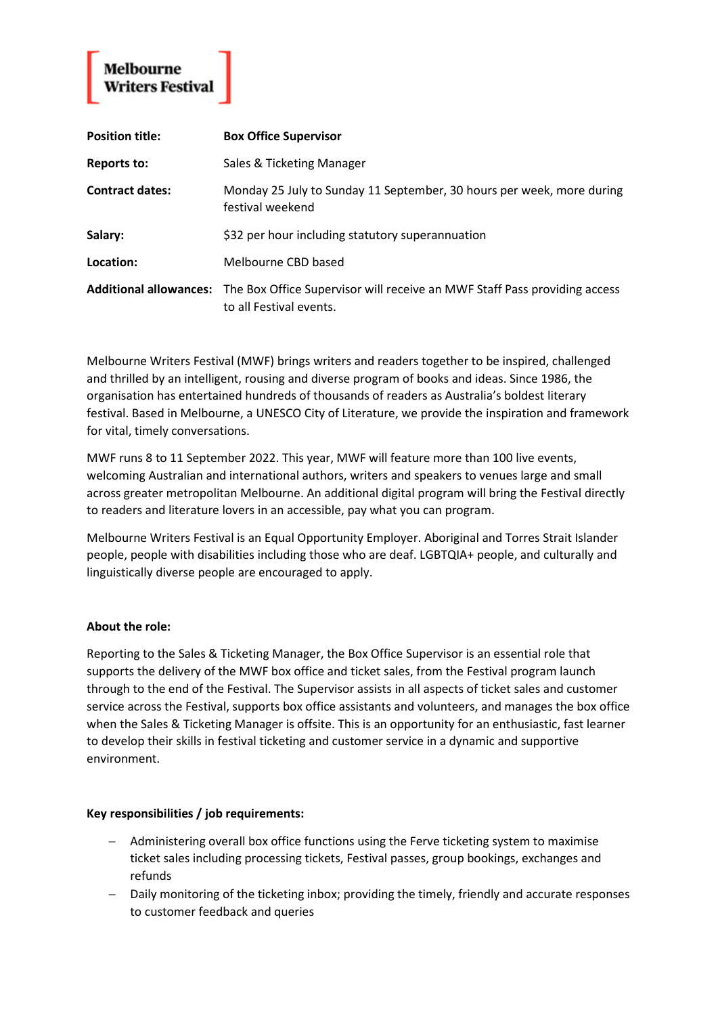**Position title: Box Office Supervisor Reports to:** Sales & Ticketing Manager **Contract dates:** Monday 25 July to Sunday 11 September, 30 hours per week, more during festival weekend **Salary:**  $\frac{1}{532}$  per hour including statutory superannuation **Location:** Melbourne CBD based **Additional allowances:** The Box Office Supervisor will receive an MWF Staff Pass providing access to all Festival events.

Melbourne Writers Festival (MWF) brings writers and readers together to be inspired, challenged and thrilled by an intelligent, rousing and diverse program of books and ideas. Since 1986, the organisation has entertained hundreds of thousands of readers as Australia's boldest literary festival. Based in Melbourne, a UNESCO City of Literature, we provide the inspiration and framework for vital, timely conversations.

MWF runs 8 to 11 September 2022. This year, MWF will feature more than 100 live events, welcoming Australian and international authors, writers and speakers to venues large and small across greater metropolitan Melbourne. An additional digital program will bring the Festival directly to readers and literature lovers in an accessible, pay what you can program.

Melbourne Writers Festival is an Equal Opportunity Employer. Aboriginal and Torres Strait Islander people, people with disabilities including those who are deaf. LGBTQIA+ people, and culturally and linguistically diverse people are encouraged to apply.

# **About the role:**

Reporting to the Sales & Ticketing Manager, the Box Office Supervisor is an essential role that supports the delivery of the MWF box office and ticket sales, from the Festival program launch through to the end of the Festival. The Supervisor assists in all aspects of ticket sales and customer service across the Festival, supports box office assistants and volunteers, and manages the box office when the Sales & Ticketing Manager is offsite. This is an opportunity for an enthusiastic, fast learner to develop their skills in festival ticketing and customer service in a dynamic and supportive environment.

### **Key responsibilities / job requirements:**

- − Administering overall box office functions using the Ferve ticketing system to maximise ticket sales including processing tickets, Festival passes, group bookings, exchanges and refunds
- − Daily monitoring of the ticketing inbox; providing the timely, friendly and accurate responses to customer feedback and queries